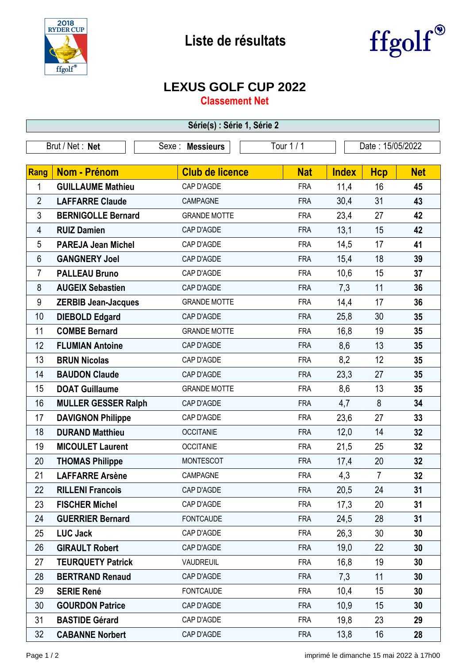

## **Liste de résultats**



## **LEXUS GOLF CUP 2022**

**Classement Net**

| Série(s) : Série 1, Série 2 |                            |                        |            |              |                  |            |  |  |  |  |
|-----------------------------|----------------------------|------------------------|------------|--------------|------------------|------------|--|--|--|--|
| Brut / Net: Net             |                            | Sexe : Messieurs       | Tour 1 / 1 |              | Date: 15/05/2022 |            |  |  |  |  |
|                             |                            |                        |            |              |                  |            |  |  |  |  |
| Rang                        | <b>Nom - Prénom</b>        | <b>Club de licence</b> | <b>Nat</b> | <b>Index</b> | <b>Hcp</b>       | <b>Net</b> |  |  |  |  |
| 1                           | <b>GUILLAUME Mathieu</b>   | CAP D'AGDE             | <b>FRA</b> | 11,4         | 16               | 45         |  |  |  |  |
| $\overline{2}$              | <b>LAFFARRE Claude</b>     | CAMPAGNE               | <b>FRA</b> | 30,4         | 31               | 43         |  |  |  |  |
| 3                           | <b>BERNIGOLLE Bernard</b>  | <b>GRANDE MOTTE</b>    | <b>FRA</b> | 23,4         | 27               | 42         |  |  |  |  |
| 4                           | <b>RUIZ Damien</b>         | CAP D'AGDE             | <b>FRA</b> | 13,1         | 15               | 42         |  |  |  |  |
| 5                           | <b>PAREJA Jean Michel</b>  | CAP D'AGDE             | <b>FRA</b> | 14,5         | 17               | 41         |  |  |  |  |
| 6                           | <b>GANGNERY Joel</b>       | CAP D'AGDE             | <b>FRA</b> | 15,4         | 18               | 39         |  |  |  |  |
| $\overline{7}$              | <b>PALLEAU Bruno</b>       | CAP D'AGDE             | <b>FRA</b> | 10,6         | 15               | 37         |  |  |  |  |
| 8                           | <b>AUGEIX Sebastien</b>    | CAP D'AGDE             | <b>FRA</b> | 7,3          | 11               | 36         |  |  |  |  |
| $9\,$                       | <b>ZERBIB Jean-Jacques</b> | <b>GRANDE MOTTE</b>    | <b>FRA</b> | 14,4         | 17               | 36         |  |  |  |  |
| 10                          | <b>DIEBOLD Edgard</b>      | CAP D'AGDE             | <b>FRA</b> | 25,8         | 30               | 35         |  |  |  |  |
| 11                          | <b>COMBE Bernard</b>       | <b>GRANDE MOTTE</b>    | <b>FRA</b> | 16,8         | 19               | 35         |  |  |  |  |
| 12                          | <b>FLUMIAN Antoine</b>     | CAP D'AGDE             | <b>FRA</b> | 8,6          | 13               | 35         |  |  |  |  |
| 13                          | <b>BRUN Nicolas</b>        | CAP D'AGDE             | <b>FRA</b> | 8,2          | 12               | 35         |  |  |  |  |
| 14                          | <b>BAUDON Claude</b>       | CAP D'AGDE             | <b>FRA</b> | 23,3         | 27               | 35         |  |  |  |  |
| 15                          | <b>DOAT Guillaume</b>      | <b>GRANDE MOTTE</b>    | <b>FRA</b> | 8,6          | 13               | 35         |  |  |  |  |
| 16                          | <b>MULLER GESSER Ralph</b> | CAP D'AGDE             | <b>FRA</b> | 4,7          | 8                | 34         |  |  |  |  |
| 17                          | <b>DAVIGNON Philippe</b>   | CAP D'AGDE             | <b>FRA</b> | 23,6         | 27               | 33         |  |  |  |  |
| 18                          | <b>DURAND Matthieu</b>     | <b>OCCITANIE</b>       | <b>FRA</b> | 12,0         | 14               | 32         |  |  |  |  |
| 19                          | <b>MICOULET Laurent</b>    | <b>OCCITANIE</b>       | <b>FRA</b> | 21,5         | 25               | 32         |  |  |  |  |
| 20                          | <b>THOMAS Philippe</b>     | <b>MONTESCOT</b>       | <b>FRA</b> | 17,4         | 20               | 32         |  |  |  |  |
| 21                          | <b>LAFFARRE Arsène</b>     | <b>CAMPAGNE</b>        | <b>FRA</b> | 4,3          | 7                | 32         |  |  |  |  |
| 22                          | <b>RILLENI Francois</b>    | CAP D'AGDE             | <b>FRA</b> | 20,5         | 24               | 31         |  |  |  |  |
| 23                          | <b>FISCHER Michel</b>      | CAP D'AGDE             | <b>FRA</b> | 17,3         | 20               | 31         |  |  |  |  |
| 24                          | <b>GUERRIER Bernard</b>    | <b>FONTCAUDE</b>       | <b>FRA</b> | 24,5         | 28               | 31         |  |  |  |  |
| 25                          | <b>LUC Jack</b>            | CAP D'AGDE             | <b>FRA</b> | 26,3         | 30               | 30         |  |  |  |  |
| 26                          | <b>GIRAULT Robert</b>      | CAP D'AGDE             | <b>FRA</b> | 19,0         | 22               | 30         |  |  |  |  |
| 27                          | <b>TEURQUETY Patrick</b>   | <b>VAUDREUIL</b>       | <b>FRA</b> | 16,8         | 19               | 30         |  |  |  |  |
| 28                          | <b>BERTRAND Renaud</b>     | CAP D'AGDE             | <b>FRA</b> | 7,3          | 11               | 30         |  |  |  |  |
| 29                          | <b>SERIE René</b>          | <b>FONTCAUDE</b>       | <b>FRA</b> | 10,4         | 15               | 30         |  |  |  |  |
| 30                          | <b>GOURDON Patrice</b>     | CAP D'AGDE             | <b>FRA</b> | 10,9         | 15               | 30         |  |  |  |  |
| 31                          | <b>BASTIDE Gérard</b>      | CAP D'AGDE             | <b>FRA</b> | 19,8         | 23               | 29         |  |  |  |  |
| 32                          | <b>CABANNE Norbert</b>     | CAP D'AGDE             | <b>FRA</b> | 13,8         | 16               | 28         |  |  |  |  |